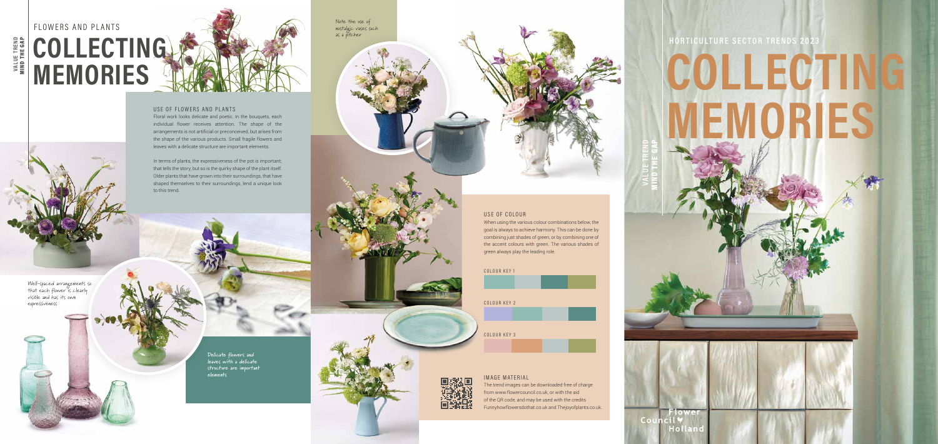### USE OF FLOWERS AND PLANTS

Floral work looks delicate and poetic. In the bouquets, each individual flower receives attention. The shape of the arrangements is not artificial or preconceived, but arises from the shape of the various products. Small fragile flowers and leaves with a delicate structure are important elements.

In terms of plants, the expressiveness of the pot is important; that tells the story, but so is the quirky shape of the plant itself. Older plants that have grown into their surroundings, that have shaped themselves to their surroundings, lend a unique look to this trend.

#### USE OF COLOUR

When using the various colour combinations below, the goal is always to achieve harmony. This can be done by combining just shades of green, or by combining one of the accent colours with green. The various shades of green always play the leading role.

# **VALUE TREND**  MIND THE GAP



Well-spaced arrangements so that each flower is clearly visible and has its own expressiveness

> **Delicate flowers and leaves with a delicate structure are important elements**

Note the use of nostalgic vases such as a pitcher





# FLOWERS AND PLANTS **COLLECTING MEMORIES**

## **HORTICULTURE SECTOR TRENDS 2023**

# **COLLECTING MEMORIES**

Flower Councily Holland

**VALUE TREND**  MIND THE GAP

### IMAGE MATERIAL

The trend images can be downloaded free of charge from www.flowercouncil.co.uk, or with the aid of the QR code, and may be used with the credits Funnyhowflowersdothat.co.uk and Thejoyofplants.co.uk.